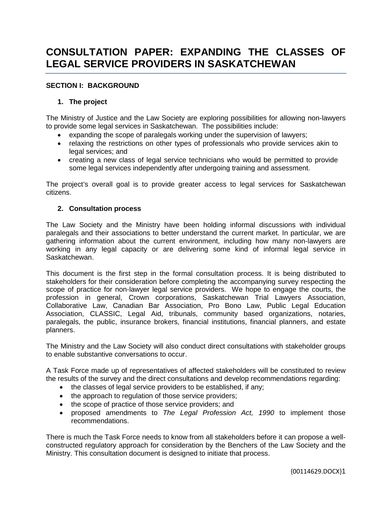# **CONSULTATION PAPER: EXPANDING THE CLASSES OF LEGAL SERVICE PROVIDERS IN SASKATCHEWAN**

## **SECTION I: BACKGROUND**

## **1. The project**

The Ministry of Justice and the Law Society are exploring possibilities for allowing non-lawyers to provide some legal services in Saskatchewan. The possibilities include:

- expanding the scope of paralegals working under the supervision of lawyers;
- relaxing the restrictions on other types of professionals who provide services akin to legal services; and
- creating a new class of legal service technicians who would be permitted to provide some legal services independently after undergoing training and assessment.

The project's overall goal is to provide greater access to legal services for Saskatchewan citizens.

#### **2. Consultation process**

The Law Society and the Ministry have been holding informal discussions with individual paralegals and their associations to better understand the current market. In particular, we are gathering information about the current environment, including how many non-lawyers are working in any legal capacity or are delivering some kind of informal legal service in Saskatchewan.

This document is the first step in the formal consultation process. It is being distributed to stakeholders for their consideration before completing the accompanying survey respecting the scope of practice for non-lawyer legal service providers. We hope to engage the courts, the profession in general, Crown corporations, Saskatchewan Trial Lawyers Association, Collaborative Law, Canadian Bar Association, Pro Bono Law, Public Legal Education Association, CLASSIC, Legal Aid, tribunals, community based organizations, notaries, paralegals, the public, insurance brokers, financial institutions, financial planners, and estate planners.

The Ministry and the Law Society will also conduct direct consultations with stakeholder groups to enable substantive conversations to occur.

A Task Force made up of representatives of affected stakeholders will be constituted to review the results of the survey and the direct consultations and develop recommendations regarding:

- the classes of legal service providers to be established, if any;
- the approach to regulation of those service providers;
- the scope of practice of those service providers; and
- proposed amendments to *The Legal Profession Act, 1990* to implement those recommendations.

There is much the Task Force needs to know from all stakeholders before it can propose a wellconstructed regulatory approach for consideration by the Benchers of the Law Society and the Ministry. This consultation document is designed to initiate that process.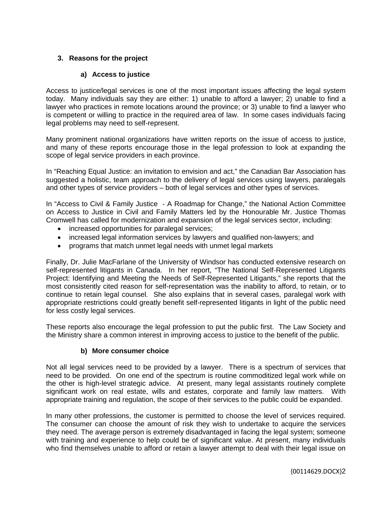# **3. Reasons for the project**

# **a) Access to justice**

Access to justice/legal services is one of the most important issues affecting the legal system today. Many individuals say they are either: 1) unable to afford a lawyer; 2) unable to find a lawyer who practices in remote locations around the province; or 3) unable to find a lawyer who is competent or willing to practice in the required area of law. In some cases individuals facing legal problems may need to self-represent.

Many prominent national organizations have written reports on the issue of access to justice, and many of these reports encourage those in the legal profession to look at expanding the scope of legal service providers in each province.

In "Reaching Equal Justice: an invitation to envision and act," the Canadian Bar Association has suggested a holistic, team approach to the delivery of legal services using lawyers, paralegals and other types of service providers – both of legal services and other types of services.

In "Access to Civil & Family Justice - A Roadmap for Change," the National Action Committee on Access to Justice in Civil and Family Matters led by the Honourable Mr. Justice Thomas Cromwell has called for modernization and expansion of the legal services sector, including:

- increased opportunities for paralegal services;
- increased legal information services by lawyers and qualified non-lawyers; and
- programs that match unmet legal needs with unmet legal markets

Finally, Dr. Julie MacFarlane of the University of Windsor has conducted extensive research on self-represented litigants in Canada. In her report, "The National Self-Represented Litigants Project: Identifying and Meeting the Needs of Self-Represented Litigants," she reports that the most consistently cited reason for self-representation was the inability to afford, to retain, or to continue to retain legal counsel. She also explains that in several cases, paralegal work with appropriate restrictions could greatly benefit self-represented litigants in light of the public need for less costly legal services.

These reports also encourage the legal profession to put the public first. The Law Society and the Ministry share a common interest in improving access to justice to the benefit of the public.

# **b) More consumer choice**

Not all legal services need to be provided by a lawyer. There is a spectrum of services that need to be provided. On one end of the spectrum is routine commoditized legal work while on the other is high-level strategic advice. At present, many legal assistants routinely complete significant work on real estate, wills and estates, corporate and family law matters. With appropriate training and regulation, the scope of their services to the public could be expanded.

In many other professions, the customer is permitted to choose the level of services required. The consumer can choose the amount of risk they wish to undertake to acquire the services they need. The average person is extremely disadvantaged in facing the legal system; someone with training and experience to help could be of significant value. At present, many individuals who find themselves unable to afford or retain a lawyer attempt to deal with their legal issue on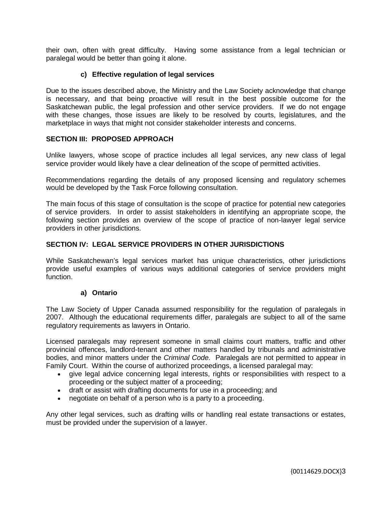their own, often with great difficulty. Having some assistance from a legal technician or paralegal would be better than going it alone.

## **c) Effective regulation of legal services**

Due to the issues described above, the Ministry and the Law Society acknowledge that change is necessary, and that being proactive will result in the best possible outcome for the Saskatchewan public, the legal profession and other service providers. If we do not engage with these changes, those issues are likely to be resolved by courts, legislatures, and the marketplace in ways that might not consider stakeholder interests and concerns.

#### **SECTION III: PROPOSED APPROACH**

Unlike lawyers, whose scope of practice includes all legal services, any new class of legal service provider would likely have a clear delineation of the scope of permitted activities.

Recommendations regarding the details of any proposed licensing and regulatory schemes would be developed by the Task Force following consultation.

The main focus of this stage of consultation is the scope of practice for potential new categories of service providers. In order to assist stakeholders in identifying an appropriate scope, the following section provides an overview of the scope of practice of non-lawyer legal service providers in other jurisdictions.

#### **SECTION IV: LEGAL SERVICE PROVIDERS IN OTHER JURISDICTIONS**

While Saskatchewan's legal services market has unique characteristics, other jurisdictions provide useful examples of various ways additional categories of service providers might function.

#### **a) Ontario**

The Law Society of Upper Canada assumed responsibility for the regulation of paralegals in 2007. Although the educational requirements differ, paralegals are subject to all of the same regulatory requirements as lawyers in Ontario.

Licensed paralegals may represent someone in small claims court matters, traffic and other provincial offences, landlord-tenant and other matters handled by tribunals and administrative bodies, and minor matters under the *Criminal Code.* Paralegals are not permitted to appear in Family Court. Within the course of authorized proceedings, a licensed paralegal may:

- give legal advice concerning legal interests, rights or responsibilities with respect to a proceeding or the subject matter of a proceeding;
- draft or assist with drafting documents for use in a proceeding; and
- negotiate on behalf of a person who is a party to a proceeding.

Any other legal services, such as drafting wills or handling real estate transactions or estates, must be provided under the supervision of a lawyer.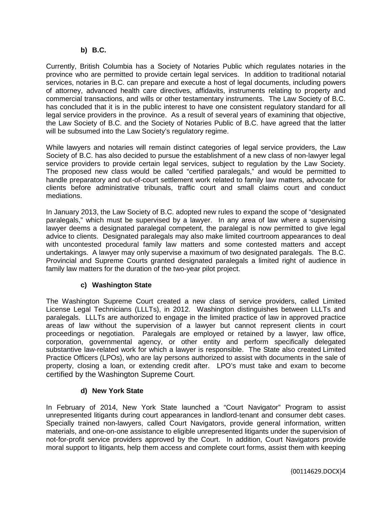## **b) B.C.**

Currently, British Columbia has a Society of Notaries Public which regulates notaries in the province who are permitted to provide certain legal services. In addition to traditional notarial services, notaries in B.C. can prepare and execute a host of legal documents, including powers of attorney, advanced health care directives, affidavits, instruments relating to property and commercial transactions, and wills or other testamentary instruments. The Law Society of B.C. has concluded that it is in the public interest to have one consistent regulatory standard for all legal service providers in the province. As a result of several years of examining that objective, the Law Society of B.C. and the Society of Notaries Public of B.C. have agreed that the latter will be subsumed into the Law Society's regulatory regime.

While lawyers and notaries will remain distinct categories of legal service providers, the Law Society of B.C. has also decided to pursue the establishment of a new class of non-lawyer legal service providers to provide certain legal services, subject to regulation by the Law Society. The proposed new class would be called "certified paralegals," and would be permitted to handle preparatory and out-of-court settlement work related to family law matters, advocate for clients before administrative tribunals, traffic court and small claims court and conduct mediations.

In January 2013, the Law Society of B.C. adopted new rules to expand the scope of "designated paralegals," which must be supervised by a lawyer. In any area of law where a supervising lawyer deems a designated paralegal competent, the paralegal is now permitted to give legal advice to clients. Designated paralegals may also make limited courtroom appearances to deal with uncontested procedural family law matters and some contested matters and accept undertakings. A lawyer may only supervise a maximum of two designated paralegals. The B.C. Provincial and Supreme Courts granted designated paralegals a limited right of audience in family law matters for the duration of the two-year pilot project.

# **c) Washington State**

The Washington Supreme Court created a new class of service providers, called Limited License Legal Technicians (LLLTs), in 2012. Washington distinguishes between LLLTs and paralegals. LLLTs are authorized to engage in the limited practice of law in approved practice areas of law without the supervision of a lawyer but cannot represent clients in court proceedings or negotiation. Paralegals are employed or retained by a lawyer, law office, corporation, governmental agency, or other entity and perform specifically delegated substantive law-related work for which a lawyer is responsible. The State also created Limited Practice Officers (LPOs), who are lay persons authorized to assist with documents in the sale of property, closing a loan, or extending credit after. LPO's must take and exam to become certified by the Washington Supreme Court.

# **d) New York State**

In February of 2014, New York State launched a "Court Navigator" Program to assist unrepresented litigants during court appearances in landlord-tenant and consumer debt cases. Specially trained non-lawyers, called Court Navigators, provide general information, written materials, and one-on-one assistance to eligible unrepresented litigants under the supervision of not-for-profit service providers approved by the Court. In addition, Court Navigators provide moral support to litigants, help them access and complete court forms, assist them with keeping